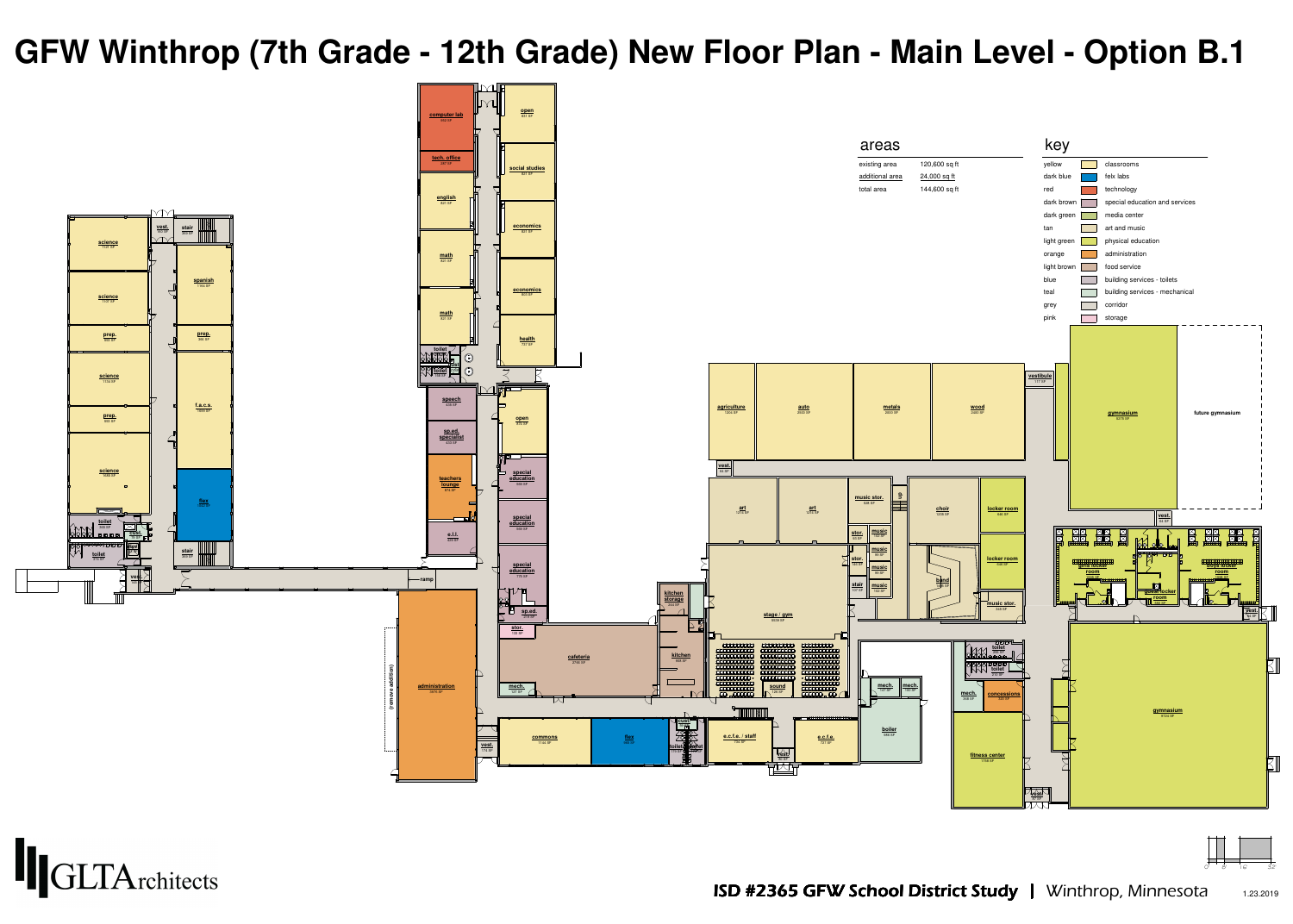





- 
- 

## **GFW Winthrop (7th Grade - 12th Grade) New Floor Plan - Main Level - Option B.1**